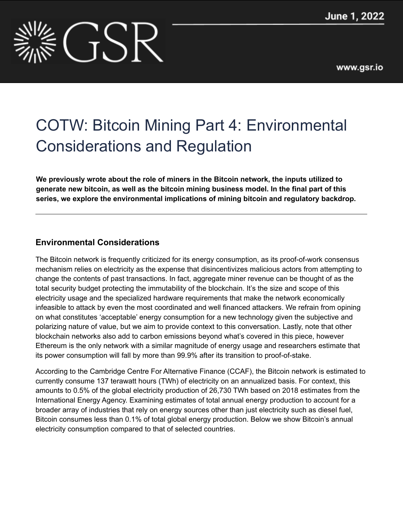

# COTW: Bitcoin Mining Part 4: Environmental Considerations and Regulation

**We previously wrote about the role of miners in the Bitcoin network, the inputs utilized to generate new bitcoin, as well as the bitcoin mining business model. In the final part of this series, we explore the environmental implications of mining bitcoin and regulatory backdrop.**

# **Environmental Considerations**

The Bitcoin network is frequently criticized for its energy consumption, as its proof-of-work consensus mechanism relies on electricity as the expense that disincentivizes malicious actors from attempting to change the contents of past transactions. In fact, aggregate miner revenue can be thought of as the total security budget protecting the immutability of the blockchain. It's the size and scope of this electricity usage and the specialized hardware requirements that make the network economically infeasible to attack by even the most coordinated and well financed attackers. We refrain from opining on what constitutes 'acceptable' energy consumption for a new technology given the subjective and polarizing nature of value, but we aim to provide context to this conversation. Lastly, note that other blockchain networks also add to carbon emissions beyond what's covered in this piece, however Ethereum is the only network with a similar magnitude of energy usage and researchers estimate that its power consumption will fall by more than 99.9% after its transition to proof-of-stake.

According to the Cambridge Centre For Alternative Finance (CCAF), the Bitcoin network is estimated to currently consume 137 terawatt hours (TWh) of electricity on an annualized basis. For context, this amounts to 0.5% of the global electricity production of 26,730 TWh based on 2018 estimates from the International Energy Agency. Examining estimates of total annual energy production to account for a broader array of industries that rely on energy sources other than just electricity such as diesel fuel, Bitcoin consumes less than 0.1% of total global energy production. Below we show Bitcoin's annual electricity consumption compared to that of selected countries.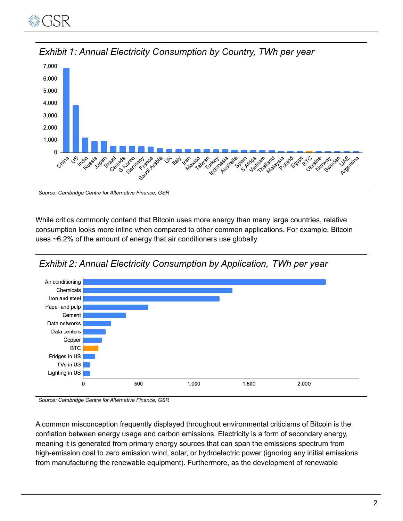



*Exhibit 1: Annual Electricity Consumption by Country, TWh per year*

*Source: Cambridge Centre for Alternative Finance, GSR*

While critics commonly contend that Bitcoin uses more energy than many large countries, relative consumption looks more inline when compared to other common applications. For example, Bitcoin uses ~6.2% of the amount of energy that air conditioners use globally.





#### *Source: Cambridge Centre for Alternative Finance, GSR*

A common misconception frequently displayed throughout environmental criticisms of Bitcoin is the conflation between energy usage and carbon emissions. Electricity is a form of secondary energy, meaning it is generated from primary energy sources that can span the emissions spectrum from high-emission coal to zero emission wind, solar, or hydroelectric power (ignoring any initial emissions from manufacturing the renewable equipment). Furthermore, as the development of renewable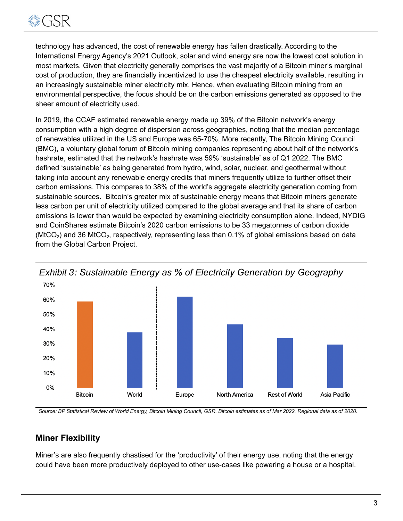

technology has advanced, the cost of renewable energy has fallen drastically. According to the International Energy Agency's 2021 Outlook, solar and wind energy are now the lowest cost solution in most markets. Given that electricity generally comprises the vast majority of a Bitcoin miner's marginal cost of production, they are financially incentivized to use the cheapest electricity available, resulting in an increasingly sustainable miner electricity mix. Hence, when evaluating Bitcoin mining from an environmental perspective, the focus should be on the carbon emissions generated as opposed to the sheer amount of electricity used.

In 2019, the CCAF estimated renewable energy made up 39% of the Bitcoin network's energy consumption with a high degree of dispersion across geographies, noting that the median percentage of renewables utilized in the US and Europe was 65-70%. More recently, The Bitcoin Mining Council (BMC), a voluntary global forum of Bitcoin mining companies representing about half of the network's hashrate, estimated that the network's hashrate was 59% 'sustainable' as of Q1 2022. The BMC defined 'sustainable' as being generated from hydro, wind, solar, nuclear, and geothermal without taking into account any renewable energy credits that miners frequently utilize to further offset their carbon emissions. This compares to 38% of the world's aggregate electricity generation coming from sustainable sources. Bitcoin's greater mix of sustainable energy means that Bitcoin miners generate less carbon per unit of electricity utilized compared to the global average and that its share of carbon emissions is lower than would be expected by examining electricity consumption alone. Indeed, NYDIG and CoinShares estimate Bitcoin's 2020 carbon emissions to be 33 megatonnes of carbon dioxide (MtCO<sub>2</sub>) and 36 MtCO<sub>2</sub>, respectively, representing less than 0.1% of global emissions based on data from the Global Carbon Project.



*Exhibit 3: Sustainable Energy as % of Electricity Generation by Geography*

Source: BP Statistical Review of World Energy, Bitcoin Mining Council, GSR. Bitcoin estimates as of Mar 2022. Regional data as of 2020.

#### **Miner Flexibility**

Miner's are also frequently chastised for the 'productivity' of their energy use, noting that the energy could have been more productively deployed to other use-cases like powering a house or a hospital.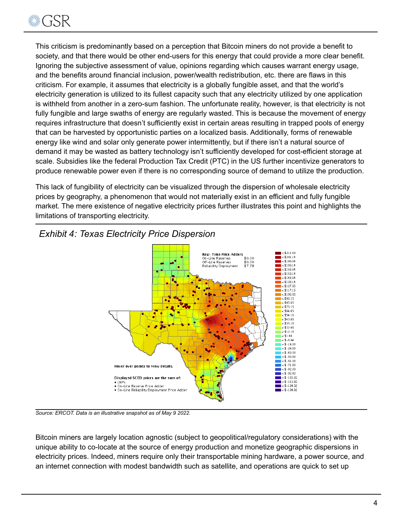

This criticism is predominantly based on a perception that Bitcoin miners do not provide a benefit to society, and that there would be other end-users for this energy that could provide a more clear benefit. Ignoring the subjective assessment of value, opinions regarding which causes warrant energy usage, and the benefits around financial inclusion, power/wealth redistribution, etc. there are flaws in this criticism. For example, it assumes that electricity is a globally fungible asset, and that the world's electricity generation is utilized to its fullest capacity such that any electricity utilized by one application is withheld from another in a zero-sum fashion. The unfortunate reality, however, is that electricity is not fully fungible and large swaths of energy are regularly wasted. This is because the movement of energy requires infrastructure that doesn't sufficiently exist in certain areas resulting in trapped pools of energy that can be harvested by opportunistic parties on a localized basis. Additionally, forms of renewable energy like wind and solar only generate power intermittently, but if there isn't a natural source of demand it may be wasted as battery technology isn't sufficiently developed for cost-efficient storage at scale. Subsidies like the federal Production Tax Credit (PTC) in the US further incentivize generators to produce renewable power even if there is no corresponding source of demand to utilize the production.

This lack of fungibility of electricity can be visualized through the dispersion of wholesale electricity prices by geography, a phenomenon that would not materially exist in an efficient and fully fungible market. The mere existence of negative electricity prices further illustrates this point and highlights the limitations of transporting electricity.



# *Exhibit 4: Texas Electricity Price Dispersion*

*Source: ERCOT. Data is an illustrative snapshot as of May 9 2022.*

Bitcoin miners are largely location agnostic (subject to geopolitical/regulatory considerations) with the unique ability to co-locate at the source of energy production and monetize geographic dispersions in electricity prices. Indeed, miners require only their transportable mining hardware, a power source, and an internet connection with modest bandwidth such as satellite, and operations are quick to set up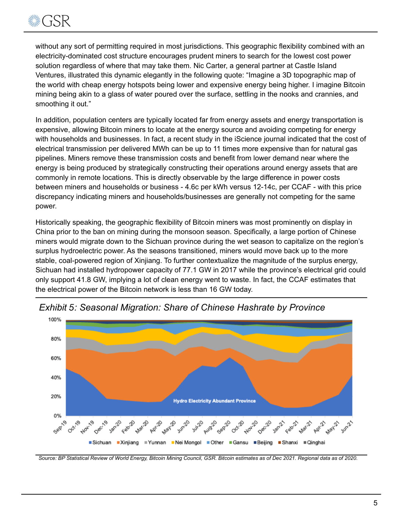

without any sort of permitting required in most jurisdictions. This geographic flexibility combined with an electricity-dominated cost structure encourages prudent miners to search for the lowest cost power solution regardless of where that may take them. Nic Carter, a general partner at Castle Island Ventures, illustrated this dynamic elegantly in the following quote: "Imagine a 3D topographic map of the world with cheap energy hotspots being lower and expensive energy being higher. I imagine Bitcoin mining being akin to a glass of water poured over the surface, settling in the nooks and crannies, and smoothing it out."

In addition, population centers are typically located far from energy assets and energy transportation is expensive, allowing Bitcoin miners to locate at the energy source and avoiding competing for energy with households and businesses. In fact, a recent study in the iScience journal indicated that the cost of electrical transmission per delivered MWh can be up to 11 times more expensive than for natural gas pipelines. Miners remove these transmission costs and benefit from lower demand near where the energy is being produced by strategically constructing their operations around energy assets that are commonly in remote locations. This is directly observable by the large difference in power costs between miners and households or business - 4.6c per kWh versus 12-14c, per CCAF - with this price discrepancy indicating miners and households/businesses are generally not competing for the same power.

Historically speaking, the geographic flexibility of Bitcoin miners was most prominently on display in China prior to the ban on mining during the monsoon season. Specifically, a large portion of Chinese miners would migrate down to the Sichuan province during the wet season to capitalize on the region's surplus hydroelectric power. As the seasons transitioned, miners would move back up to the more stable, coal-powered region of Xinjiang. To further contextualize the magnitude of the surplus energy, Sichuan had installed hydropower capacity of 77.1 GW in 2017 while the province's electrical grid could only support 41.8 GW, implying a lot of clean energy went to waste. In fact, the CCAF estimates that the electrical power of the Bitcoin network is less than 16 GW today.



*Exhibit 5: Seasonal Migration: Share of Chinese Hashrate by Province*

Source: BP Statistical Review of World Energy, Bitcoin Mining Council, GSR. Bitcoin estimates as of Dec 2021. Regional data as of 2020.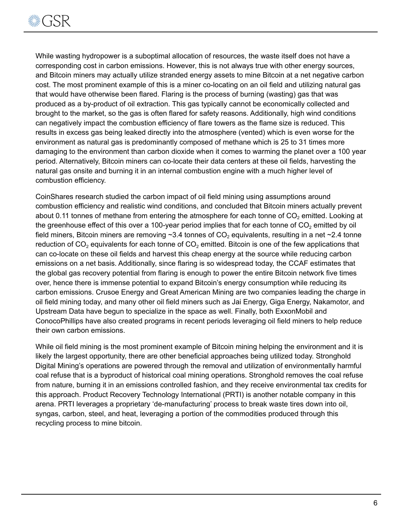

While wasting hydropower is a suboptimal allocation of resources, the waste itself does not have a corresponding cost in carbon emissions. However, this is not always true with other energy sources, and Bitcoin miners may actually utilize stranded energy assets to mine Bitcoin at a net negative carbon cost. The most prominent example of this is a miner co-locating on an oil field and utilizing natural gas that would have otherwise been flared. Flaring is the process of burning (wasting) gas that was produced as a by-product of oil extraction. This gas typically cannot be economically collected and brought to the market, so the gas is often flared for safety reasons. Additionally, high wind conditions can negatively impact the combustion efficiency of flare towers as the flame size is reduced. This results in excess gas being leaked directly into the atmosphere (vented) which is even worse for the environment as natural gas is predominantly composed of methane which is 25 to 31 times more damaging to the environment than carbon dioxide when it comes to warming the planet over a 100 year period. Alternatively, Bitcoin miners can co-locate their data centers at these oil fields, harvesting the natural gas onsite and burning it in an internal combustion engine with a much higher level of combustion efficiency.

CoinShares research studied the carbon impact of oil field mining using assumptions around combustion efficiency and realistic wind conditions, and concluded that Bitcoin miners actually prevent about 0.11 tonnes of methane from entering the atmosphere for each tonne of  $CO<sub>2</sub>$  emitted. Looking at the greenhouse effect of this over a 100-year period implies that for each tonne of  $CO<sub>2</sub>$  emitted by oil field miners, Bitcoin miners are removing  $\sim$ 3.4 tonnes of CO<sub>2</sub> equivalents, resulting in a net  $\sim$ 2.4 tonne reduction of  $CO<sub>2</sub>$  equivalents for each tonne of  $CO<sub>2</sub>$  emitted. Bitcoin is one of the few applications that can co-locate on these oil fields and harvest this cheap energy at the source while reducing carbon emissions on a net basis. Additionally, since flaring is so widespread today, the CCAF estimates that the global gas recovery potential from flaring is enough to power the entire Bitcoin network five times over, hence there is immense potential to expand Bitcoin's energy consumption while reducing its carbon emissions. Crusoe Energy and Great American Mining are two companies leading the charge in oil field mining today, and many other oil field miners such as Jai Energy, Giga Energy, Nakamotor, and Upstream Data have begun to specialize in the space as well. Finally, both ExxonMobil and ConocoPhillips have also created programs in recent periods leveraging oil field miners to help reduce their own carbon emissions.

While oil field mining is the most prominent example of Bitcoin mining helping the environment and it is likely the largest opportunity, there are other beneficial approaches being utilized today. Stronghold Digital Mining's operations are powered through the removal and utilization of environmentally harmful coal refuse that is a byproduct of historical coal mining operations. Stronghold removes the coal refuse from nature, burning it in an emissions controlled fashion, and they receive environmental tax credits for this approach. Product Recovery Technology International (PRTI) is another notable company in this arena. PRTI leverages a proprietary 'de-manufacturing' process to break waste tires down into oil, syngas, carbon, steel, and heat, leveraging a portion of the commodities produced through this recycling process to mine bitcoin.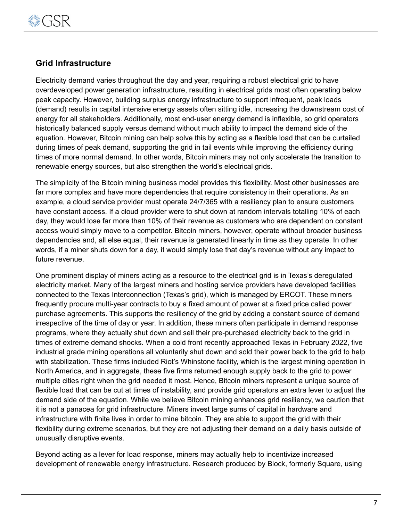

### **Grid Infrastructure**

Electricity demand varies throughout the day and year, requiring a robust electrical grid to have overdeveloped power generation infrastructure, resulting in electrical grids most often operating below peak capacity. However, building surplus energy infrastructure to support infrequent, peak loads (demand) results in capital intensive energy assets often sitting idle, increasing the downstream cost of energy for all stakeholders. Additionally, most end-user energy demand is inflexible, so grid operators historically balanced supply versus demand without much ability to impact the demand side of the equation. However, Bitcoin mining can help solve this by acting as a flexible load that can be curtailed during times of peak demand, supporting the grid in tail events while improving the efficiency during times of more normal demand. In other words, Bitcoin miners may not only accelerate the transition to renewable energy sources, but also strengthen the world's electrical grids.

The simplicity of the Bitcoin mining business model provides this flexibility. Most other businesses are far more complex and have more dependencies that require consistency in their operations. As an example, a cloud service provider must operate 24/7/365 with a resiliency plan to ensure customers have constant access. If a cloud provider were to shut down at random intervals totalling 10% of each day, they would lose far more than 10% of their revenue as customers who are dependent on constant access would simply move to a competitor. Bitcoin miners, however, operate without broader business dependencies and, all else equal, their revenue is generated linearly in time as they operate. In other words, if a miner shuts down for a day, it would simply lose that day's revenue without any impact to future revenue.

One prominent display of miners acting as a resource to the electrical grid is in Texas's deregulated electricity market. Many of the largest miners and hosting service providers have developed facilities connected to the Texas Interconnection (Texas's grid), which is managed by ERCOT. These miners frequently procure multi-year contracts to buy a fixed amount of power at a fixed price called power purchase agreements. This supports the resiliency of the grid by adding a constant source of demand irrespective of the time of day or year. In addition, these miners often participate in demand response programs, where they actually shut down and sell their pre-purchased electricity back to the grid in times of extreme demand shocks. When a cold front recently approached Texas in February 2022, five industrial grade mining operations all voluntarily shut down and sold their power back to the grid to help with stabilization. These firms included Riot's Whinstone facility, which is the largest mining operation in North America, and in aggregate, these five firms returned enough supply back to the grid to power multiple cities right when the grid needed it most. Hence, Bitcoin miners represent a unique source of flexible load that can be cut at times of instability, and provide grid operators an extra lever to adjust the demand side of the equation. While we believe Bitcoin mining enhances grid resiliency, we caution that it is not a panacea for grid infrastructure. Miners invest large sums of capital in hardware and infrastructure with finite lives in order to mine bitcoin. They are able to support the grid with their flexibility during extreme scenarios, but they are not adjusting their demand on a daily basis outside of unusually disruptive events.

Beyond acting as a lever for load response, miners may actually help to incentivize increased development of renewable energy infrastructure. Research produced by Block, formerly Square, using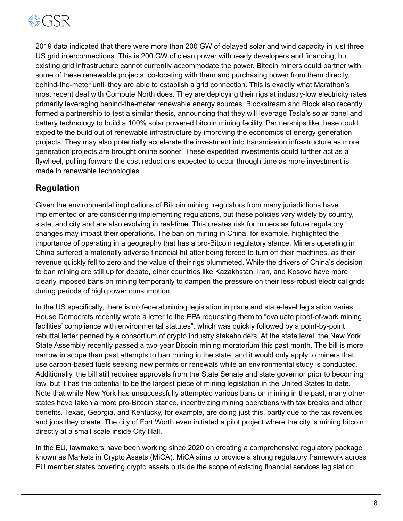

2019 data indicated that there were more than 200 GW of delayed solar and wind capacity in just three US grid interconnections. This is 200 GW of clean power with ready developers and financing, but existing grid infrastructure cannot currently accommodate the power. Bitcoin miners could partner with some of these renewable projects, co-locating with them and purchasing power from them directly, behind-the-meter until they are able to establish a grid connection. This is exactly what Marathon's most recent deal with Compute North does. They are deploying their rigs at industry-low electricity rates primarily leveraging behind-the-meter renewable energy sources. Blockstream and Block also recently formed a partnership to test a similar thesis, announcing that they will leverage Tesla's solar panel and battery technology to build a 100% solar powered bitcoin mining facility. Partnerships like these could expedite the build out of renewable infrastructure by improving the economics of energy generation projects. They may also potentially accelerate the investment into transmission infrastructure as more generation projects are brought online sooner. These expedited investments could further act as a flywheel, pulling forward the cost reductions expected to occur through time as more investment is made in renewable technologies.

## **Regulation**

Given the environmental implications of Bitcoin mining, regulators from many jurisdictions have implemented or are considering implementing regulations, but these policies vary widely by country, state, and city and are also evolving in real-time. This creates risk for miners as future regulatory changes may impact their operations. The ban on mining in China, for example, highlighted the importance of operating in a geography that has a pro-Bitcoin regulatory stance. Miners operating in China suffered a materially adverse financial hit after being forced to turn off their machines, as their revenue quickly fell to zero and the value of their rigs plummeted. While the drivers of China's decision to ban mining are still up for debate, other countries like Kazakhstan, Iran, and Kosovo have more clearly imposed bans on mining temporarily to dampen the pressure on their less-robust electrical grids during periods of high power consumption.

In the US specifically, there is no federal mining legislation in place and state-level legislation varies. House Democrats recently wrote a letter to the EPA requesting them to "evaluate proof-of-work mining facilities' compliance with environmental statutes", which was quickly followed by a point-by-point rebuttal letter penned by a consortium of crypto industry stakeholders. At the state level, the New York State Assembly recently passed a two-year Bitcoin mining moratorium this past month. The bill is more narrow in scope than past attempts to ban mining in the state, and it would only apply to miners that use carbon-based fuels seeking new permits or renewals while an environmental study is conducted. Additionally, the bill still requires approvals from the State Senate and state governor prior to becoming law, but it has the potential to be the largest piece of mining legislation in the United States to date. Note that while New York has unsuccessfully attempted various bans on mining in the past, many other states have taken a more pro-Bitcoin stance, incentivizing mining operations with tax breaks and other benefits. Texas, Georgia, and Kentucky, for example, are doing just this, partly due to the tax revenues and jobs they create. The city of Fort Worth even initiated a pilot project where the city is mining bitcoin directly at a small scale inside City Hall.

In the EU, lawmakers have been working since 2020 on creating a comprehensive regulatory package known as Markets in Crypto Assets (MiCA). MiCA aims to provide a strong regulatory framework across EU member states covering crypto assets outside the scope of existing financial services legislation.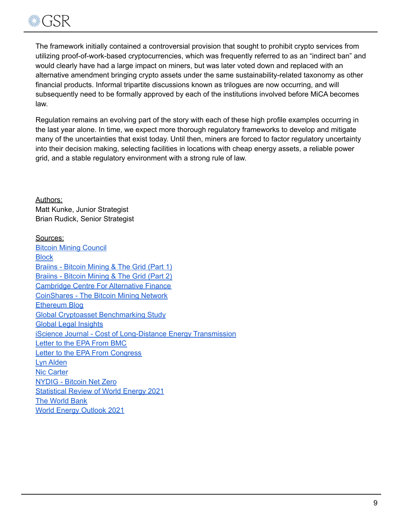

The framework initially contained a controversial provision that sought to prohibit crypto services from utilizing proof-of-work-based cryptocurrencies, which was frequently referred to as an "indirect ban" and would clearly have had a large impact on miners, but was later voted down and replaced with an alternative amendment bringing crypto assets under the same sustainability-related taxonomy as other financial products. Informal tripartite discussions known as trilogues are now occurring, and will subsequently need to be formally approved by each of the institutions involved before MiCA becomes law.

Regulation remains an evolving part of the story with each of these high profile examples occurring in the last year alone. In time, we expect more thorough regulatory frameworks to develop and mitigate many of the uncertainties that exist today. Until then, miners are forced to factor regulatory uncertainty into their decision making, selecting facilities in locations with cheap energy assets, a reliable power grid, and a stable regulatory environment with a strong rule of law.

Authors: Matt Kunke, Junior Strategist Brian Rudick, Senior Strategist

Sources: Bitcoin Mining [Council](https://bitcoinminingcouncil.com/) **[Block](https://assets.ctfassets.net/2d5q1td6cyxq/5mRjc9X5LTXFFihIlTt7QK/e7bcba47217b60423a01a357e036105e/BCEI_White_Paper.pdf)** [Braiins](https://braiins.com/blog/bitcoin-mining-the-grid-generators) - Bitcoin Mining & The Grid (Part 1) [Braiins](https://braiins.com/blog/bitcoin-mining-electric-grid-transmission-curtailment-behind-the-meter) - Bitcoin Mining & The Grid (Part 2) [Cambridge](https://ccaf.io/cbeci/index) Centre For Alternative Finance [CoinShares](https://coinshares.com/research/bitcoin-mining-network-2022) - The Bitcoin Mining Network [Ethereum](https://blog.ethereum.org/2021/05/18/country-power-no-more/) Blog Global Cryptoasset [Benchmarking](https://www.jbs.cam.ac.uk/wp-content/uploads/2021/01/2021-ccaf-3rd-global-cryptoasset-benchmarking-study.pdf) Study Global Legal [Insights](https://www.globallegalinsights.com/practice-areas/blockchain-laws-and-regulations/usa) iScience Journal - Cost of [Long-Distance](https://www.sciencedirect.com/science/article/pii/S2589004221014668) Energy Transmission [Letter](https://bitcoinminingcouncil.com/wp-content/uploads/2022/05/Bitcoin_Letter_to_the_Environmental_Protection_Agency.pdf) to the EPA From BMC Letter to the EPA From [Congress](https://huffman.house.gov/imo/media/doc/Crypto%20letter%20to%20EPA%20FINAL.pdf) Lyn [Alden](https://www.lynalden.com/bitcoin-energy/) Nic [Carter](https://niccarter.info/papers/) [NYDIG](https://nydig.com/bitcoin-net-zero) - Bitcoin Net Zero [Statistical](https://www.bp.com/content/dam/bp/business-sites/en/global/corporate/pdfs/energy-economics/statistical-review/bp-stats-review-2021-full-report.pdf) Review of World Energy 2021 The [World](https://www.worldbank.org/en/programs/gasflaringreduction/gas-flaring-explained#:~:text=Gas%20flaring%20is%20the%20burning,appropriate%20regulation%20and%20political%20will.) Bank World Energy [Outlook](https://www.iea.org/reports/world-energy-outlook-2021) 2021